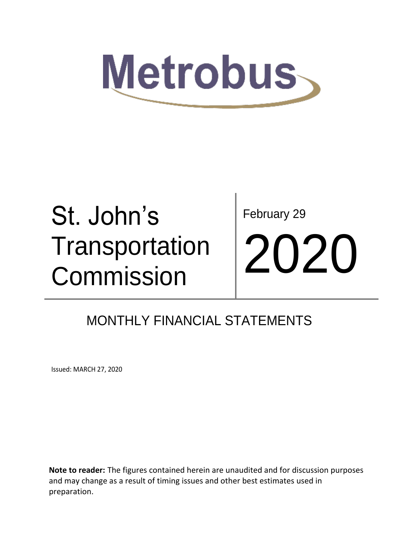

# St. John's **Transportation** Commission

February 29 2020

### MONTHLY FINANCIAL STATEMENTS

Issued: MARCH 27, 2020

**Note to reader:** The figures contained herein are unaudited and for discussion purposes and may change as a result of timing issues and other best estimates used in preparation.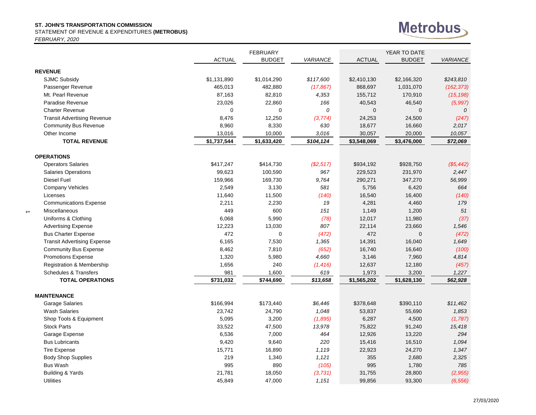STATEMENT OF REVENUE & EXPENDITURES **(METROBUS)**

*FEBRUARY, 2020*

 $\rightarrow$ 



|                                      |               | <b>FEBRUARY</b> |           |               | YEAR TO DATE  |                 |  |  |
|--------------------------------------|---------------|-----------------|-----------|---------------|---------------|-----------------|--|--|
|                                      | <b>ACTUAL</b> | <b>BUDGET</b>   | VARIANCE  | <b>ACTUAL</b> | <b>BUDGET</b> | <b>VARIANCE</b> |  |  |
| <b>REVENUE</b>                       |               |                 |           |               |               |                 |  |  |
| <b>SJMC Subsidy</b>                  | \$1,131,890   | \$1,014,290     | \$117,600 | \$2,410,130   | \$2,166,320   | \$243,810       |  |  |
| Passenger Revenue                    | 465,013       | 482,880         | (17, 867) | 868,697       | 1,031,070     | (162, 373)      |  |  |
| Mt. Pearl Revenue                    | 87,163        | 82,810          | 4,353     | 155,712       | 170,910       | (15, 198)       |  |  |
| Paradise Revenue                     | 23,026        | 22,860          | 166       | 40,543        | 46,540        | (5,997)         |  |  |
| <b>Charter Revenue</b>               | $\mathbf 0$   | $\mathbf 0$     | 0         | $\mathbf{0}$  | $\mathbf{0}$  | 0               |  |  |
| <b>Transit Advertising Revenue</b>   | 8,476         | 12,250          | (3,774)   | 24,253        | 24,500        | (247)           |  |  |
| <b>Community Bus Revenue</b>         | 8,960         | 8,330           | 630       | 18,677        | 16,660        | 2,017           |  |  |
| Other Income                         | 13,016        | 10,000          | 3,016     | 30,057        | 20,000        | 10,057          |  |  |
| <b>TOTAL REVENUE</b>                 | \$1,737,544   | \$1,633,420     | \$104,124 | \$3,548,069   | \$3,476,000   | \$72,069        |  |  |
| <b>OPERATIONS</b>                    |               |                 |           |               |               |                 |  |  |
| <b>Operators Salaries</b>            | \$417,247     | \$414,730       | (S2, 517) | \$934,192     | \$928,750     | (\$5,442)       |  |  |
| <b>Salaries Operations</b>           | 99,623        | 100,590         | 967       | 229,523       | 231,970       | 2,447           |  |  |
| Diesel Fuel                          | 159,966       | 169,730         | 9,764     | 290,271       | 347,270       | 56,999          |  |  |
| <b>Company Vehicles</b>              | 2,549         | 3,130           | 581       | 5,756         | 6,420         | 664             |  |  |
| Licenses                             | 11,640        | 11,500          | (140)     | 16,540        | 16,400        | (140)           |  |  |
| <b>Communications Expense</b>        | 2,211         | 2,230           | 19        | 4,281         | 4,460         | 179             |  |  |
| Miscellaneous                        | 449           | 600             | 151       | 1,149         | 1,200         | 51              |  |  |
| Uniforms & Clothing                  | 6,068         | 5,990           | (78)      | 12,017        | 11,980        | (37)            |  |  |
| <b>Advertising Expense</b>           | 12,223        | 13,030          | 807       | 22,114        | 23,660        | 1,546           |  |  |
| <b>Bus Charter Expense</b>           | 472           | $\mathbf 0$     | (472)     | 472           | $\mathbf{0}$  | (472)           |  |  |
| <b>Transit Advertising Expense</b>   | 6,165         | 7,530           | 1,365     | 14,391        | 16,040        | 1,649           |  |  |
| <b>Community Bus Expense</b>         | 8,462         | 7,810           | (652)     | 16,740        | 16,640        | (100)           |  |  |
| <b>Promotions Expense</b>            | 1,320         | 5,980           | 4,660     | 3,146         | 7,960         | 4,814           |  |  |
| <b>Registration &amp; Membership</b> | 1,656         | 240             | (1, 416)  | 12,637        | 12,180        | (457)           |  |  |
| <b>Schedules &amp; Transfers</b>     | 981           | 1,600           | 619       | 1,973         | 3,200         | 1,227           |  |  |
| <b>TOTAL OPERATIONS</b>              | \$731,032     | \$744,690       | \$13,658  | \$1,565,202   | \$1,628,130   | \$62,928        |  |  |
| <b>MAINTENANCE</b>                   |               |                 |           |               |               |                 |  |  |
| <b>Garage Salaries</b>               | \$166,994     | \$173,440       | \$6,446   | \$378,648     | \$390,110     | \$11,462        |  |  |
| <b>Wash Salaries</b>                 | 23,742        | 24,790          | 1,048     | 53,837        | 55,690        | 1,853           |  |  |
| Shop Tools & Equipment               | 5,095         | 3,200           | (1,895)   | 6,287         | 4,500         | (1,787)         |  |  |
| <b>Stock Parts</b>                   | 33,522        | 47,500          | 13,978    | 75,822        | 91,240        | 15,418          |  |  |
| Garage Expense                       | 6,536         | 7,000           | 464       | 12,926        | 13,220        | 294             |  |  |
| <b>Bus Lubricants</b>                | 9,420         | 9,640           | 220       | 15,416        | 16,510        | 1,094           |  |  |
| <b>Tire Expense</b>                  | 15,771        | 16,890          | 1,119     | 22,923        | 24,270        | 1,347           |  |  |
| <b>Body Shop Supplies</b>            | 219           | 1,340           | 1,121     | 355           | 2,680         | 2,325           |  |  |
| <b>Bus Wash</b>                      | 995           | 890             | (105)     | 995           | 1,780         | 785             |  |  |
| Building & Yards                     | 21,781        | 18,050          | (3, 731)  | 31,755        | 28,800        | (2,955)         |  |  |
| <b>Utilities</b>                     | 45,849        | 47,000          | 1,151     | 99,856        | 93,300        | (6, 556)        |  |  |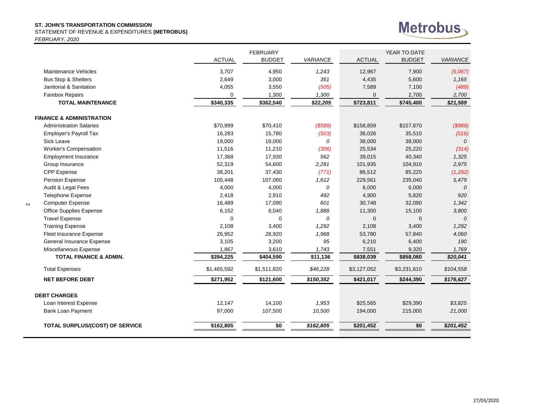STATEMENT OF REVENUE & EXPENDITURES **(METROBUS)**

*FEBRUARY, 2020*

 $\sim$ 



|                                        |               | <b>FEBRUARY</b> |                 |               | YEAR TO DATE  |                 |
|----------------------------------------|---------------|-----------------|-----------------|---------------|---------------|-----------------|
|                                        | <b>ACTUAL</b> | <b>BUDGET</b>   | <b>VARIANCE</b> | <b>ACTUAL</b> | <b>BUDGET</b> | <b>VARIANCE</b> |
| Maintenance Vehicles                   | 3,707         | 4,950           | 1,243           | 12,967        | 7,900         | (5,067)         |
| Bus Stop & Shelters                    | 2,649         | 3,000           | 351             | 4,435         | 5,600         | 1,165           |
| Janitorial & Sanitation                | 4,055         | 3,550           | (505)           | 7,589         | 7,100         | (489)           |
| Farebox Repairs                        | 0             | 1,300           | 1,300           | 0             | 2,700         | 2,700           |
| <b>TOTAL MAINTENANCE</b>               | \$340,335     | \$362,540       | \$22,205        | \$723,811     | \$745,400     | \$21,589        |
| <b>FINANCE &amp; ADMINISTRATION</b>    |               |                 |                 |               |               |                 |
| <b>Administration Salaries</b>         | \$70,999      | \$70,410        | (\$589)         | \$158,859     | \$157,870     | (\$989)         |
| Employer's Payroll Tax                 | 16,283        | 15,780          | (503)           | 36,026        | 35,510        | (516)           |
| Sick Leave                             | 19,000        | 19,000          | 0               | 38,000        | 38,000        | $\mathcal{O}$   |
| Worker's Compensation                  | 11,516        | 11,210          | (306)           | 25,534        | 25,220        | (314)           |
| <b>Employment Insurance</b>            | 17,368        | 17,930          | 562             | 39,015        | 40,340        | 1,325           |
| Group Insurance                        | 52,319        | 54,600          | 2,281           | 101,935       | 104,910       | 2,975           |
| <b>CPP Expense</b>                     | 38,201        | 37,430          | (771)           | 86,512        | 85,220        | (1, 292)        |
| Pension Expense                        | 105,448       | 107,060         | 1,612           | 229,561       | 235,040       | 5,479           |
| Audit & Legal Fees                     | 4,000         | 4,000           | 0               | 6,000         | 6,000         | 0               |
| Telephone Expense                      | 2,418         | 2,910           | 492             | 4,900         | 5,820         | 920             |
| <b>Computer Expense</b>                | 16,489        | 17,090          | 601             | 30,748        | 32,090        | 1,342           |
| Office Supplies Expense                | 6,152         | 8,040           | 1,888           | 11,300        | 15,100        | 3,800           |
| <b>Travel Expense</b>                  | $\mathbf 0$   | 0               | 0               | $\mathbf{0}$  | $\mathbf{0}$  | 0               |
| <b>Training Expense</b>                | 2,108         | 3,400           | 1,292           | 2,108         | 3,400         | 1,292           |
| Fleet Insurance Expense                | 26,952        | 28,920          | 1,968           | 53,780        | 57,840        | 4,060           |
| General Insurance Expense              | 3,105         | 3,200           | 95              | 6,210         | 6,400         | 190             |
| Miscellaneous Expense                  | 1,867         | 3,610           | 1,743           | 7,551         | 9,320         | 1,769           |
| <b>TOTAL FINANCE &amp; ADMIN.</b>      | \$394,225     | \$404,590       | \$11,136        | \$838,039     | \$858,080     | \$20,041        |
| <b>Total Expenses</b>                  | \$1,465,592   | \$1,511,820     | \$46,228        | \$3,127,052   | \$3,231,610   | \$104,558       |
| <b>NET BEFORE DEBT</b>                 | \$271,952     | \$121,600       | \$150,352       | \$421,017     | \$244,390     | \$176,627       |
| <b>DEBT CHARGES</b>                    |               |                 |                 |               |               |                 |
| Loan Interest Expense                  | 12,147        | 14,100          | 1,953           | \$25,565      | \$29,390      | \$3,825         |
| Bank Loan Payment                      | 97,000        | 107,500         | 10,500          | 194,000       | 215,000       | 21,000          |
| <b>TOTAL SURPLUS/(COST) OF SERVICE</b> | \$162,805     | \$0             | \$162,805       | \$201,452     | \$0           | \$201,452       |
|                                        |               |                 |                 |               |               |                 |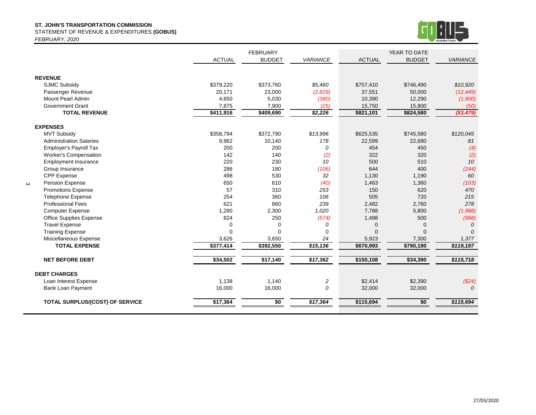STATEMENT OF REVENUE & EXPENDITURES **(GOBUS)**

*FEBRUARY, 2020*

 $\boldsymbol{\omega}$ 



|                                        |               | <b>FEBRUARY</b> |                 |               | YEAR TO DATE  |                    |
|----------------------------------------|---------------|-----------------|-----------------|---------------|---------------|--------------------|
|                                        | <b>ACTUAL</b> | <b>BUDGET</b>   | <b>VARIANCE</b> | <b>ACTUAL</b> | <b>BUDGET</b> | <b>VARIANCE</b>    |
|                                        |               |                 |                 |               |               |                    |
| <b>REVENUE</b>                         |               |                 |                 |               |               |                    |
| <b>SJMC Subsidy</b>                    | \$379,220     | \$373,760       | \$5,460         | \$757,410     | \$746,490     | \$10,920           |
| Passenger Revenue                      | 20,171        | 23,000          | (2,829)         | 37,551        | 50,000        | (12, 449)          |
| <b>Mount Pearl Admin</b>               | 4,650         | 5,030           | (380)           | 10,390        | 12,290        | (1,900)            |
| <b>Government Grant</b>                | 7,875         | 7,900           | (25)            | 15,750        | 15,800        | (50)               |
| <b>TOTAL REVENUE</b>                   | \$411,916     | \$409,690       | \$2,226         | \$821,101     | \$824,580     | $($ \$3,479)       |
|                                        |               |                 |                 |               |               |                    |
| <b>EXPENSES</b>                        |               |                 |                 |               |               |                    |
| <b>MVT Subsidy</b>                     | \$358,794     | \$372,790       | \$13,996        | \$625,535     | \$745,580     | \$120,045          |
| <b>Administration Salaries</b>         | 9,962         | 10,140          | 178             | 22,599        | 22,680        | 81                 |
| <b>Employer's Payroll Tax</b>          | 200           | 200             | 0               | 454           | 450           | (4)                |
| Worker's Compensation                  | 142           | 140             | (2)             | 322           | 320           | (2)                |
| <b>Employment Insurance</b>            | 220           | 230             | 10              | 500           | 510           | 10                 |
| Group Insurance                        | 286           | 180             | (106)           | 644           | 400           | (244)              |
| <b>CPP Expense</b>                     | 498           | 530             | 32              | 1,130         | 1,190         | 60                 |
| Pension Expense                        | 650           | 610             | (40)            | 1,463         | 1,360         | (103)              |
| <b>Promotions Expense</b>              | 57            | 310             | 253             | 150           | 620           | 470                |
| <b>Telephone Expense</b>               | 254           | 360             | 106             | 505           | 720           | 215                |
| <b>Professional Fees</b>               | 621           | 860             | 239             | 2,482         | 2,760         | 278                |
| <b>Computer Expense</b>                | 1,280         | 2,300           | 1,020           | 7,788         | 5,800         | (1,988)            |
| <b>Office Supplies Expense</b>         | 824           | 250             | (574)           | 1,498         | 500           | (998)              |
| <b>Travel Expense</b>                  | $\mathbf 0$   | 0               | 0               | $\mathbf 0$   | $\Omega$      | $\Omega$           |
| <b>Training Expense</b>                | $\Omega$      | $\Omega$        | $\Omega$        | $\Omega$      | $\Omega$      | $\Omega$           |
| Miscellaneous Expense                  | 3,626         | 3,650           | 24              | 5,923         | 7,300         | 1,377              |
| <b>TOTAL EXPENSE</b>                   | \$377,414     | \$392,550       | \$15,136        | \$670,993     | \$790,190     | \$119,197          |
| <b>NET BEFORE DEBT</b>                 | \$34,502      | \$17,140        | \$17,362        | \$150,108     | \$34,390      | \$115,718          |
| <b>DEBT CHARGES</b>                    |               |                 |                 |               |               |                    |
| Loan Interest Expense                  | 1,138         | 1,140           | $\overline{c}$  | \$2,414       | \$2,390       |                    |
|                                        |               |                 | $\mathcal{O}$   |               |               | (\$24)<br>$\Omega$ |
| <b>Bank Loan Payment</b>               | 16,000        | 16,000          |                 | 32,000        | 32,000        |                    |
| <b>TOTAL SURPLUS/(COST) OF SERVICE</b> | \$17,364      | \$0             | \$17,364        | \$115,694     | \$0           | \$115,694          |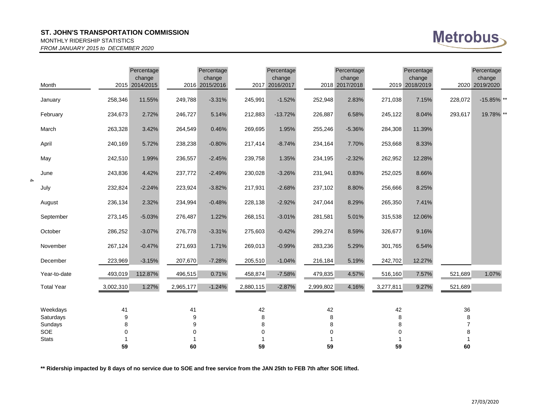#### MONTHLY RIDERSHIP STATISTICS

*FROM JANUARY 2015 to DECEMBER 2020*

| <b>Metrobus</b> |  |
|-----------------|--|
|-----------------|--|

|               | Month                 |           | Percentage<br>change<br>2015 2014/2015 |           | Percentage<br>change<br>2016 2015/2016 |             | Percentage<br>change<br>2017 2016/2017 |           | Percentage<br>change<br>2018 2017/2018 |           | Percentage<br>change<br>2019 2018/2019 |                | Percentage<br>change<br>2020 2019/2020 |  |
|---------------|-----------------------|-----------|----------------------------------------|-----------|----------------------------------------|-------------|----------------------------------------|-----------|----------------------------------------|-----------|----------------------------------------|----------------|----------------------------------------|--|
|               | January               | 258,346   | 11.55%                                 | 249,788   | $-3.31%$                               | 245,991     | $-1.52%$                               | 252,948   | 2.83%                                  | 271,038   | 7.15%                                  | 228,072        | -15.85% **                             |  |
|               | February              | 234,673   | 2.72%                                  | 246,727   | 5.14%                                  | 212,883     | $-13.72%$                              | 226,887   | 6.58%                                  | 245,122   | 8.04%                                  | 293,617        | 19.78% **                              |  |
|               | March                 | 263,328   | 3.42%                                  | 264,549   | 0.46%                                  | 269,695     | 1.95%                                  | 255,246   | $-5.36%$                               | 284,308   | 11.39%                                 |                |                                        |  |
|               | April                 | 240,169   | 5.72%                                  | 238,238   | $-0.80%$                               | 217,414     | $-8.74%$                               | 234,164   | 7.70%                                  | 253,668   | 8.33%                                  |                |                                        |  |
|               | May                   | 242,510   | 1.99%                                  | 236,557   | $-2.45%$                               | 239,758     | 1.35%                                  | 234,195   | $-2.32%$                               | 262,952   | 12.28%                                 |                |                                        |  |
|               | June                  | 243,836   | 4.42%                                  | 237,772   | $-2.49%$                               | 230,028     | $-3.26%$                               | 231,941   | 0.83%                                  | 252,025   | 8.66%                                  |                |                                        |  |
| $\rightarrow$ | July                  | 232,824   | $-2.24%$                               | 223,924   | $-3.82%$                               | 217,931     | $-2.68%$                               | 237,102   | 8.80%                                  | 256,666   | 8.25%                                  |                |                                        |  |
|               | August                | 236,134   | 2.32%                                  | 234,994   | $-0.48%$                               | 228,138     | $-2.92%$                               | 247,044   | 8.29%                                  | 265,350   | 7.41%                                  |                |                                        |  |
|               | September             | 273,145   | $-5.03%$                               | 276,487   | 1.22%                                  | 268,151     | $-3.01%$                               | 281,581   | 5.01%                                  | 315,538   | 12.06%                                 |                |                                        |  |
|               | October               | 286,252   | $-3.07%$                               | 276,778   | $-3.31%$                               | 275,603     | $-0.42%$                               | 299,274   | 8.59%                                  | 326,677   | 9.16%                                  |                |                                        |  |
|               | November              | 267,124   | $-0.47%$                               | 271,693   | 1.71%                                  | 269,013     | $-0.99%$                               | 283,236   | 5.29%                                  | 301,765   | 6.54%                                  |                |                                        |  |
|               | December              | 223,969   | $-3.15%$                               | 207,670   | $-7.28%$                               | 205,510     | $-1.04%$                               | 216,184   | 5.19%                                  | 242,702   | 12.27%                                 |                |                                        |  |
|               | Year-to-date          | 493,019   | 112.87%                                | 496,515   | 0.71%                                  | 458,874     | $-7.58%$                               | 479,835   | 4.57%                                  | 516,160   | 7.57%                                  | 521,689        | 1.07%                                  |  |
|               | <b>Total Year</b>     | 3,002,310 | 1.27%                                  | 2,965,177 | $-1.24%$                               | 2,880,115   | $-2.87%$                               | 2,999,802 | 4.16%                                  | 3,277,811 | 9.27%                                  | 521,689        |                                        |  |
|               |                       |           |                                        |           |                                        |             |                                        |           |                                        |           |                                        |                |                                        |  |
|               | Weekdays<br>Saturdays | 41<br>9   |                                        | 41<br>9   |                                        | 42<br>8     |                                        | 42<br>8   |                                        | 42<br>8   |                                        | 36<br>8        |                                        |  |
|               | Sundays               | 8         |                                        | 9         |                                        | 8           |                                        | 8         |                                        | 8         |                                        | $\overline{7}$ |                                        |  |
|               | SOE                   | 0         |                                        | 0         |                                        | $\mathbf 0$ |                                        |           |                                        | 0         |                                        | 8              |                                        |  |
|               | <b>Stats</b>          |           |                                        |           |                                        |             |                                        |           |                                        |           |                                        |                |                                        |  |
|               |                       | 59        |                                        | 60        |                                        | 59          |                                        | 59        |                                        | 59        |                                        | 60             |                                        |  |

**\*\* Ridership impacted by 8 days of no service due to SOE and free service from the JAN 25th to FEB 7th after SOE lifted.**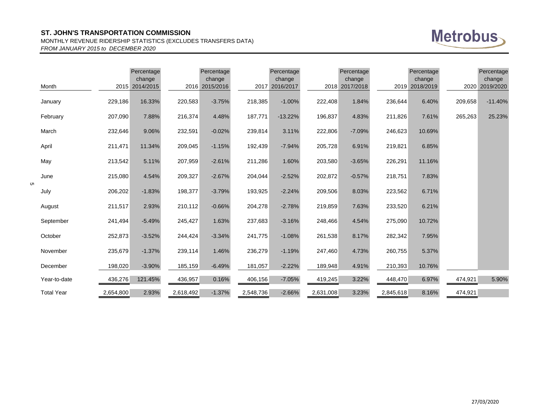#### MONTHLY REVENUE RIDERSHIP STATISTICS (EXCLUDES TRANSFERS DATA) *FROM JANUARY 2015 to DECEMBER 2020*



|   | Month             |           | Percentage<br>change<br>2015 2014/2015 |           | Percentage<br>change<br>2016 2015/2016 |           | Percentage<br>change<br>2017 2016/2017 |           | Percentage<br>change<br>2018 2017/2018 |           | Percentage<br>change<br>2019 2018/2019 | 2020    | Percentage<br>change<br>2019/2020 |
|---|-------------------|-----------|----------------------------------------|-----------|----------------------------------------|-----------|----------------------------------------|-----------|----------------------------------------|-----------|----------------------------------------|---------|-----------------------------------|
|   | January           | 229,186   | 16.33%                                 | 220,583   | $-3.75%$                               | 218,385   | $-1.00%$                               | 222,408   | 1.84%                                  | 236,644   | 6.40%                                  | 209,658 | $-11.40%$                         |
|   | February          | 207,090   | 7.88%                                  | 216,374   | 4.48%                                  | 187,771   | $-13.22%$                              | 196,837   | 4.83%                                  | 211,826   | 7.61%                                  | 265,263 | 25.23%                            |
|   | March             | 232,646   | 9.06%                                  | 232,591   | $-0.02%$                               | 239,814   | 3.11%                                  | 222,806   | $-7.09%$                               | 246,623   | 10.69%                                 |         |                                   |
|   | April             | 211,471   | 11.34%                                 | 209,045   | $-1.15%$                               | 192,439   | $-7.94%$                               | 205,728   | 6.91%                                  | 219,821   | 6.85%                                  |         |                                   |
|   | May               | 213,542   | 5.11%                                  | 207,959   | $-2.61%$                               | 211,286   | 1.60%                                  | 203,580   | $-3.65%$                               | 226,291   | 11.16%                                 |         |                                   |
|   | June              | 215,080   | 4.54%                                  | 209,327   | $-2.67%$                               | 204,044   | $-2.52%$                               | 202,872   | $-0.57%$                               | 218,751   | 7.83%                                  |         |                                   |
| ហ | July              | 206,202   | $-1.83%$                               | 198,377   | $-3.79%$                               | 193,925   | $-2.24%$                               | 209,506   | 8.03%                                  | 223,562   | 6.71%                                  |         |                                   |
|   | August            | 211,517   | 2.93%                                  | 210,112   | $-0.66%$                               | 204,278   | $-2.78%$                               | 219,859   | 7.63%                                  | 233,520   | 6.21%                                  |         |                                   |
|   | September         | 241,494   | $-5.49%$                               | 245,427   | 1.63%                                  | 237,683   | $-3.16%$                               | 248,466   | 4.54%                                  | 275,090   | 10.72%                                 |         |                                   |
|   | October           | 252,873   | $-3.52%$                               | 244,424   | $-3.34%$                               | 241,775   | $-1.08%$                               | 261,538   | 8.17%                                  | 282,342   | 7.95%                                  |         |                                   |
|   | November          | 235,679   | $-1.37%$                               | 239,114   | 1.46%                                  | 236,279   | $-1.19%$                               | 247,460   | 4.73%                                  | 260,755   | 5.37%                                  |         |                                   |
|   | December          | 198,020   | $-3.90%$                               | 185,159   | $-6.49%$                               | 181,057   | $-2.22%$                               | 189,948   | 4.91%                                  | 210,393   | 10.76%                                 |         |                                   |
|   | Year-to-date      | 436,276   | 121.45%                                | 436,957   | 0.16%                                  | 406,156   | $-7.05%$                               | 419,245   | 3.22%                                  | 448,470   | 6.97%                                  | 474,921 | 5.90%                             |
|   | <b>Total Year</b> | 2,654,800 | 2.93%                                  | 2,618,492 | $-1.37%$                               | 2,548,736 | $-2.66%$                               | 2,631,008 | 3.23%                                  | 2,845,618 | 8.16%                                  | 474,921 |                                   |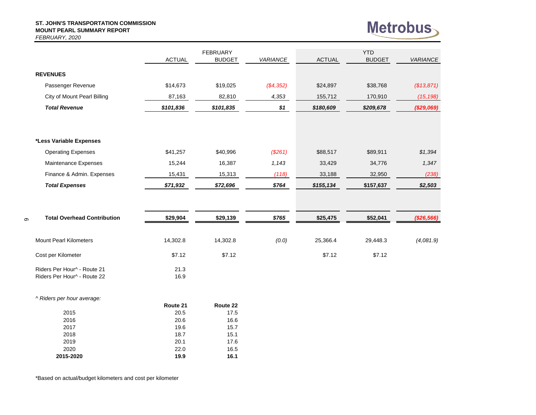#### **ST. JOHN'S TRANSPORTATION COMMISSION MOUNT PEARL SUMMARY REPORT** *FEBRUARY, 2020*

6



|                                    |               | <b>FEBRUARY</b> |                 |               | <b>YTD</b>    |                 |
|------------------------------------|---------------|-----------------|-----------------|---------------|---------------|-----------------|
|                                    | <b>ACTUAL</b> | <b>BUDGET</b>   | <b>VARIANCE</b> | <b>ACTUAL</b> | <b>BUDGET</b> | <b>VARIANCE</b> |
| <b>REVENUES</b>                    |               |                 |                 |               |               |                 |
|                                    |               |                 |                 |               |               |                 |
| Passenger Revenue                  | \$14,673      | \$19,025        | (\$4,352)       | \$24,897      | \$38,768      | (\$13,871)      |
| <b>City of Mount Pearl Billing</b> | 87,163        | 82,810          | 4,353           | 155,712       | 170,910       | (15, 198)       |
| <b>Total Revenue</b>               | \$101,836     | \$101,835       | \$1             | \$180,609     | \$209,678     | (\$29,069)      |
|                                    |               |                 |                 |               |               |                 |
| *Less Variable Expenses            |               |                 |                 |               |               |                 |
| <b>Operating Expenses</b>          | \$41,257      | \$40,996        | (\$261)         | \$88,517      | \$89,911      | \$1,394         |
| Maintenance Expenses               | 15,244        | 16,387          | 1,143           | 33,429        | 34,776        | 1,347           |
| Finance & Admin. Expenses          | 15,431        | 15,313          | (118)           | 33,188        | 32,950        | (238)           |
| <b>Total Expenses</b>              | \$71,932      | \$72,696        | \$764           | \$155, 134    | \$157,637     | \$2,503         |
|                                    |               |                 |                 |               |               |                 |
| <b>Total Overhead Contribution</b> | \$29,904      | \$29,139        | \$765           | \$25,475      | \$52,041      | (\$26,566)      |
| <b>Mount Pearl Kilometers</b>      | 14,302.8      | 14,302.8        | (0.0)           | 25,366.4      | 29,448.3      | (4,081.9)       |
| Cost per Kilometer                 | \$7.12        | \$7.12          |                 | \$7.12        | \$7.12        |                 |
| Riders Per Hour^ - Route 21        | 21.3          |                 |                 |               |               |                 |
| Riders Per Hour^ - Route 22        | 16.9          |                 |                 |               |               |                 |
| ^ Riders per hour average:         |               |                 |                 |               |               |                 |
|                                    | Route 21      | Route 22        |                 |               |               |                 |
| 2015<br>2016                       | 20.5<br>20.6  | 17.5<br>16.6    |                 |               |               |                 |
| 2017                               | 19.6          | 15.7            |                 |               |               |                 |

\*Based on actual/budget kilometers and cost per kilometer

 18.7 15.1 20.1 17.6 22.0 16.5 **2015-2020 19.9 16.1**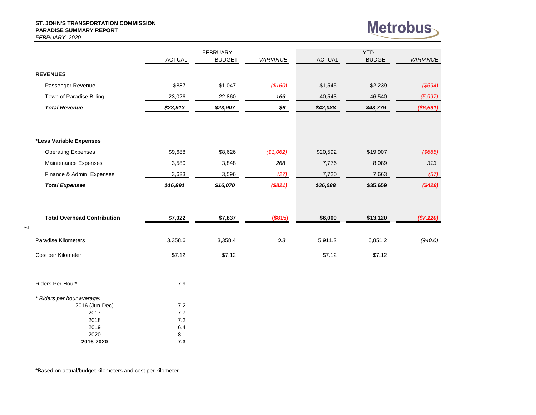#### **ST. JOHN'S TRANSPORTATION COMMISSION PARADISE SUMMARY REPORT** *FEBRUARY, 2020*



|                                    |               | <b>FEBRUARY</b> |           |               | <b>YTD</b>    |                 |
|------------------------------------|---------------|-----------------|-----------|---------------|---------------|-----------------|
|                                    | <b>ACTUAL</b> | <b>BUDGET</b>   | VARIANCE  | <b>ACTUAL</b> | <b>BUDGET</b> | <b>VARIANCE</b> |
| <b>REVENUES</b>                    |               |                 |           |               |               |                 |
| Passenger Revenue                  | \$887         | \$1,047         | (\$160)   | \$1,545       | \$2,239       | (\$694)         |
| Town of Paradise Billing           | 23,026        | 22,860          | 166       | 40,543        | 46,540        | (5, 997)        |
| <b>Total Revenue</b>               | \$23,913      | \$23,907        | \$6       | \$42,088      | \$48,779      | (\$6,691)       |
|                                    |               |                 |           |               |               |                 |
| *Less Variable Expenses            |               |                 |           |               |               |                 |
| <b>Operating Expenses</b>          | \$9,688       | \$8,626         | (\$1,062) | \$20,592      | \$19,907      | (\$685)         |
| Maintenance Expenses               | 3,580         | 3,848           | 268       | 7,776         | 8,089         | 313             |
| Finance & Admin. Expenses          | 3,623         | 3,596           | (27)      | 7,720         | 7,663         | (57)            |
| <b>Total Expenses</b>              | \$16,891      | \$16,070        | (\$821)   | \$36,088      | \$35,659      | $(*429)$        |
|                                    |               |                 |           |               |               |                 |
| <b>Total Overhead Contribution</b> | \$7,022       | \$7,837         | (\$815)   | \$6,000       | \$13,120      | (\$7,120)       |
| <b>Paradise Kilometers</b>         | 3,358.6       | 3,358.4         | 0.3       | 5,911.2       | 6,851.2       | (940.0)         |
| Cost per Kilometer                 | \$7.12        | \$7.12          |           | \$7.12        | \$7.12        |                 |
| Riders Per Hour*                   | 7.9           |                 |           |               |               |                 |
| * Riders per hour average:         |               |                 |           |               |               |                 |
| 2016 (Jun-Dec)                     | 7.2           |                 |           |               |               |                 |

 $2017$   $7.7$ <br>2018  $7.2$ 2018 2019 6.4<br>2020 8.1 2020 8.1<br>116-2020 7.3

**2016-2020 7.3**

 $\prec$ 

\*Based on actual/budget kilometers and cost per kilometer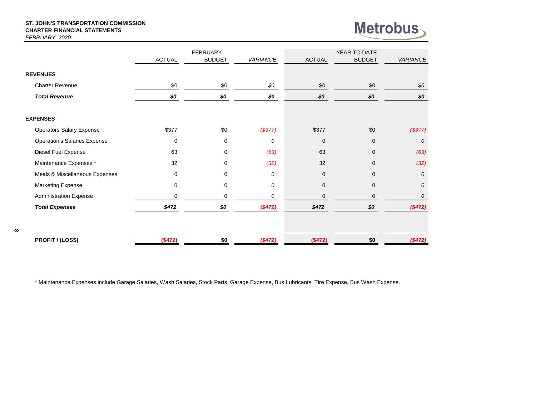#### **ST. JOHN'S TRANSPORTATION COMMISSION CHARTER FINANCIAL STATEMENTS** *FEBRUARY, 2020*

 $\infty$ 



|                                     |               | <b>FEBRUARY</b> |                 |                | YEAR TO DATE  |                 |
|-------------------------------------|---------------|-----------------|-----------------|----------------|---------------|-----------------|
|                                     | <b>ACTUAL</b> | <b>BUDGET</b>   | <b>VARIANCE</b> | <b>ACTUAL</b>  | <b>BUDGET</b> | <b>VARIANCE</b> |
| <b>REVENUES</b>                     |               |                 |                 |                |               |                 |
| <b>Charter Revenue</b>              | \$0           | \$0             | \$0             | \$0            | \$0           | \$0             |
| <b>Total Revenue</b>                | \$0           | \$0             | \$0             | \$0            | \$0           | \$0             |
| <b>EXPENSES</b>                     |               |                 |                 |                |               |                 |
| <b>Operators Salary Expense</b>     | \$377         | \$0             | (\$377)         | \$377          | \$0           | (\$377)         |
| <b>Operation's Salaries Expense</b> | $\mathbf 0$   | $\mathbf 0$     | 0               | $\overline{0}$ | $\mathbf{0}$  | 0               |
| Diesel Fuel Expense                 | 63            | 0               | (63)            | 63             | 0             | (63)            |
| Maintenance Expenses *              | 32            | 0               | (32)            | 32             | $\mathbf{0}$  | (32)            |
| Meals & Miscellaneous Expenses      | 0             | $\mathbf 0$     | 0               | $\mathbf{0}$   | $\mathbf{0}$  | $\overline{O}$  |
| <b>Marketing Expense</b>            | 0             | $\mathbf 0$     | 0               | $\overline{0}$ | $\Omega$      | 0               |
| <b>Administration Expense</b>       | $\Omega$      | $\Omega$        | 0               | 0              | $\Omega$      | 0               |
| <b>Total Expenses</b>               | \$472         | \$0             | (\$472)         | \$472          | \$0           | (\$472)         |
|                                     |               |                 |                 |                |               |                 |
| <b>PROFIT / (LOSS)</b>              | (\$472)       | \$0             | $(*472)$        | (\$472)        | \$0           | (\$472)         |

\* Maintenance Expenses include Garage Salaries, Wash Salaries, Stock Parts, Garage Expense, Bus Lubricants, Tire Expense, Bus Wash Expense.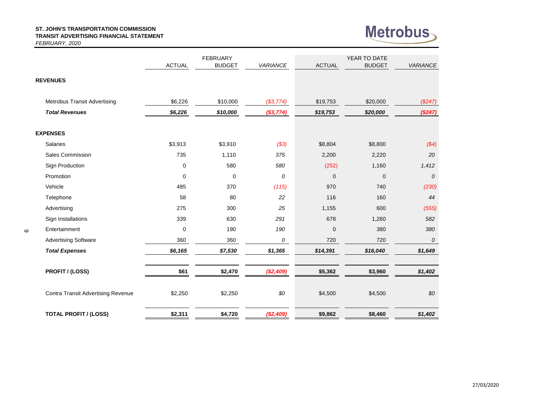#### **ST. JOHN'S TRANSPORTATION COMMISSION TRANSIT ADVERTISING FINANCIAL STATEMENT**



*FEBRUARY, 2020* ACTUAL BUDGET *VARIANCE* ACTUAL BUDGET *VARIANCE* **REVENUES** FEBRUARY THE STATE SERVICE SERVICE SERVICE SERVICE SERVICE SERVICE SERVICE SERVICE SERVICE SERVICE SERVICE SERVICE SERVICE SERVICE SERVICE SERVICE SERVICE SERVICE SERVICE SERVICE SERVICE SERVICE SERVICE SERVICE SERVICE SER

| \$6,226     | \$10,000        | (\$3,774)          | \$19,753           | \$20,000                        | $(\$247)$          |
|-------------|-----------------|--------------------|--------------------|---------------------------------|--------------------|
| \$6,226     | \$10,000        | (\$3,774)          | \$19,753           | \$20,000                        | (\$247)            |
|             |                 |                    |                    |                                 |                    |
|             |                 |                    |                    |                                 |                    |
|             |                 |                    |                    |                                 | \$4)               |
| 735         | 1,110           | 375                | 2,200              | 2,220                           | 20                 |
| $\mathbf 0$ | 580             | 580                | (252)              | 1,160                           | 1,412              |
| $\mathbf 0$ | $\mathbf 0$     | 0                  | $\mathbf 0$        | $\mathbf 0$                     | $\boldsymbol{0}$   |
| 485         | 370             | (115)              | 970                | 740                             | (230)              |
| 58          | 80              | 22                 | 116                | 160                             | 44                 |
| 275         | 300             | 25                 | 1,155              | 600                             | (555)              |
| 339         | 630             | 291                | 678                | 1,260                           | 582                |
| $\mathbf 0$ | 190             | 190                | $\mathbf 0$        | 380                             | 380                |
| 360         | 360             | 0                  | 720                | 720                             | $\boldsymbol{0}$   |
| \$6,165     | \$7,530         | \$1,365            | \$14,391           | \$16,040                        | \$1,649            |
|             |                 |                    |                    |                                 |                    |
|             |                 |                    |                    |                                 | \$1,402            |
| \$2,250     | \$2,250         | \$0                | \$4,500            | \$4,500                         | $$0$$              |
| \$2,311     | \$4,720         |                    | \$9,862            | \$8,460                         | \$1,402            |
|             | \$3,913<br>\$61 | \$3,910<br>\$2,470 | (\$3)<br>(\$2,409) | \$8,804<br>\$5,362<br>(\$2,409) | \$8,800<br>\$3,960 |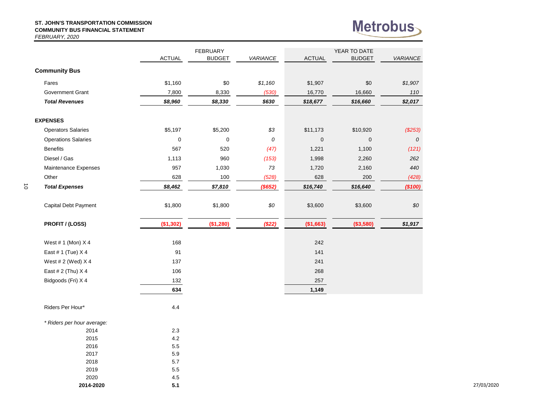#### **ST. JOHN'S TRANSPORTATION COMMISSION COMMUNITY BUS FINANCIAL STATEMENT** *FEBRUARY, 2020*

2018 5.7 2019 5.5 2020 4.5 **2014-2020 5.1**

 $\vec{o}$ 



|                            | <b>ACTUAL</b> | <b>FEBRUARY</b><br><b>BUDGET</b> | <b>VARIANCE</b> | <b>ACTUAL</b> | YEAR TO DATE<br><b>BUDGET</b> | VARIANCE |
|----------------------------|---------------|----------------------------------|-----------------|---------------|-------------------------------|----------|
| <b>Community Bus</b>       |               |                                  |                 |               |                               |          |
| Fares                      | \$1,160       | \$0                              | \$1,160         | \$1,907       | \$0                           | \$1,907  |
| <b>Government Grant</b>    | 7,800         | 8,330                            | (530)           | 16,770        | 16,660                        | 110      |
| <b>Total Revenues</b>      | \$8,960       | \$8,330                          | \$630           | \$18,677      | \$16,660                      | \$2,017  |
| <b>EXPENSES</b>            |               |                                  |                 |               |                               |          |
| <b>Operators Salaries</b>  | \$5,197       | \$5,200                          | \$3             | \$11,173      | \$10,920                      | (\$253)  |
| <b>Operations Salaries</b> | $\pmb{0}$     | $\pmb{0}$                        | 0               | $\mathbf 0$   | $\mathbf{0}$                  | 0        |
| <b>Benefits</b>            | 567           | 520                              | (47)            | 1,221         | 1,100                         | (121)    |
| Diesel / Gas               | 1,113         | 960                              | (153)           | 1,998         | 2,260                         | 262      |
| Maintenance Expenses       | 957           | 1,030                            | 73              | 1,720         | 2,160                         | 440      |
| Other                      | 628           | 100                              | (528)           | 628           | 200                           | (428)    |
| <b>Total Expenses</b>      | \$8,462       | \$7,810                          | (\$652)         | \$16,740      | \$16,640                      | (\$100)  |
| Capital Debt Payment       | \$1,800       | \$1,800                          | $\$0$           | \$3,600       | \$3,600                       | \$0      |
| PROFIT / (LOSS)            | (\$1,302)     | (\$1,280)                        | (\$22)          | (\$1,663)     | (\$3,580)                     | \$1,917  |
| West # 1 (Mon) X 4         | 168           |                                  |                 | 242           |                               |          |
| East # 1 (Tue) X 4         | 91            |                                  |                 | 141           |                               |          |
| West # 2 (Wed) X 4         | 137           |                                  |                 | 241           |                               |          |
| East # 2 (Thu) X 4         | 106           |                                  |                 | 268           |                               |          |
| Bidgoods (Fri) X 4         | 132           |                                  |                 | 257           |                               |          |
|                            | 634           |                                  |                 | 1,149         |                               |          |
| Riders Per Hour*           | 4.4           |                                  |                 |               |                               |          |
| * Riders per hour average: |               |                                  |                 |               |                               |          |
| 2014                       | 2.3           |                                  |                 |               |                               |          |
| 2015                       | 4.2           |                                  |                 |               |                               |          |
| 2016<br>2017               | 5.5<br>5.9    |                                  |                 |               |                               |          |
|                            |               |                                  |                 |               |                               |          |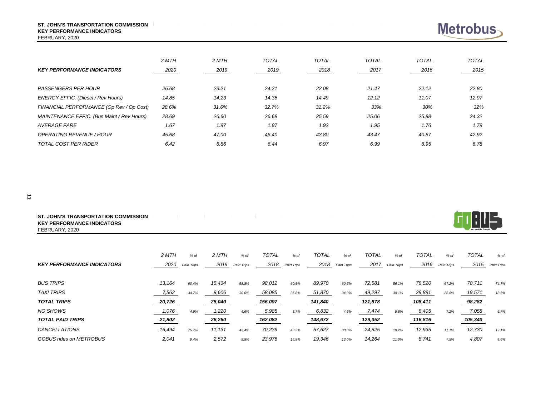| <b>ST. JOHN'S TRANSPORTATION COMMISSION</b> |  |
|---------------------------------------------|--|
| <b>KEY PERFORMANCE INDICATORS</b>           |  |

FEBRUARY, 2020

| <b>KEY PERFORMANCE INDICATORS</b>          | 2 MTH<br>2020 | 2 MTH<br>2019 | <b>TOTAL</b><br>2019 | <b>TOTAL</b><br>2018 | <b>TOTAL</b><br>2017 | <b>TOTAL</b><br>2016 | <b>TOTAL</b><br>2015 |
|--------------------------------------------|---------------|---------------|----------------------|----------------------|----------------------|----------------------|----------------------|
| <b>PASSENGERS PER HOUR</b>                 | 26.68         | 23.21         | 24.21                | 22.08                | 21.47                | 22.12                | 22.80                |
| ENERGY EFFIC. (Diesel / Rev Hours)         | 14.85         | 14.23         | 14.36                | 14.49                | 12.12                | 11.07                | 12.97                |
| FINANCIAL PERFORMANCE (Op Rev / Op Cost)   | 28.6%         | 31.6%         | 32.7%                | 31.2%                | 33%                  | 30%                  | 32%                  |
| MAINTENANCE EFFIC. (Bus Maint / Rev Hours) | 28.69         | 26.60         | 26.68                | 25.59                | 25.06                | 25.88                | 24.32                |
| <b>AVERAGE FARE</b>                        | 1.67          | 1.97          | 1.87                 | 1.92                 | 1.95                 | 1.76                 | 1.79                 |
| <b>OPERATING REVENUE / HOUR</b>            | 45.68         | 47.00         | 46.40                | 43.80                | 43.47                | 40.87                | 42.92                |
| <b>TOTAL COST PER RIDER</b>                | 6.42          | 6.86          | 6.44                 | 6.97                 | 6.99                 | 6.95                 | 6.78                 |

| <b>JOHN'S TRANSPORTATION COMMISSION</b><br><b>ST.</b> |  |  |  |
|-------------------------------------------------------|--|--|--|
| <b>KEY PERFORMANCE INDICATORS</b>                     |  |  |  |
| FEBRUARY, 2020                                        |  |  |  |

|                                   | 2 MTH  | % of       | 2 MTH  | $%$ of     | <b>TOTAL</b> | $%$ of     | <b>TOTAL</b> | $%$ of     | <b>TOTAL</b> | % of       | <b>TOTAL</b> | $%$ of     | <b>TOTAL</b> | % of       |
|-----------------------------------|--------|------------|--------|------------|--------------|------------|--------------|------------|--------------|------------|--------------|------------|--------------|------------|
| <b>KEY PERFORMANCE INDICATORS</b> | 2020   | Paid Trips | 2019   | Paid Trips | 2018         | Paid Trips | 2018         | Paid Trips | 2017         | Paid Trips | 2016         | Paid Trips | 2015         | Paid Trips |
| <b>BUS TRIPS</b>                  | 13,164 | 60.4%      | 15,434 | 58.8%      | 98,012       | 60.5%      | 89,970       | 60.5%      | 72,581       | 56.1%      | 78,520       | 67.2%      | 78,711       | 74.7%      |
| <b>TAXI TRIPS</b>                 | 7,562  | 34.7%      | 9,606  | 36.6%      | 58,085       | 35.8%      | 51,870       | 34.9%      | 49,297       | 38.1%      | 29,891       | 25.6%      | 19,571       | 18.6%      |
| <b>TOTAL TRIPS</b>                | 20,726 |            | 25,040 |            | 156,097      |            | 141,840      |            | 121,878      |            | 108,411      |            | 98,282       |            |
| NO SHOWS                          | 1,076  | 4.9%       | 1,220  | 4.6%       | 5,985        | 3.7%       | 6,832        | 4.6%       | 7,474        | 5.8%       | 8,405        | 7.2%       | 7,058        | 6.7%       |
| <b>TOTAL PAID TRIPS</b>           | 21,802 |            | 26,260 |            | 162,082      |            | 148,672      |            | 129,352      |            | 116,816      |            | 105,340      |            |
| <b>CANCELLATIONS</b>              | 16,494 | 75.7%      | 11,131 | 42.4%      | 70,239       | 43.3%      | 57,627       | 38.8%      | 24,825       | 19.2%      | 12,935       | 11.1%      | 12,730       | 12.1%      |
| GOBUS rides on METROBUS           | 2,041  | 9.4%       | 2,572  | 9.8%       | 23,976       | 14.8%      | 19,346       | 13.0%      | 14,264       | 11.0%      | 8.741        | 7.5%       | 4,807        | 4.6%       |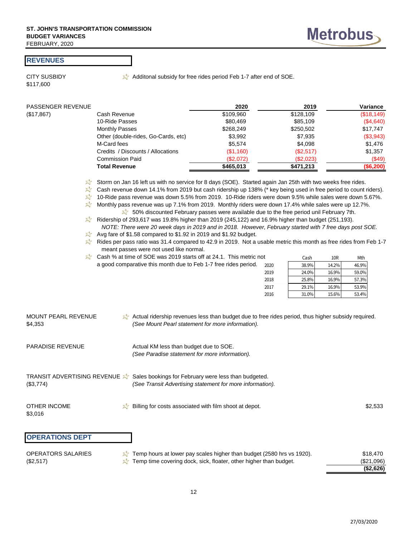#### **REVENUES**

\$117,600

CITY SUSBIDY  $\mathbb{Z}^4$  Additonal subsidy for free rides period Feb 1-7 after end of SOE.

| PASSENGER REVENUE |                                     | 2020      | 2019      | Variance   |
|-------------------|-------------------------------------|-----------|-----------|------------|
| (\$17,867)        | Cash Revenue                        | \$109,960 | \$128,109 | (\$18,149) |
|                   | 10-Ride Passes                      | \$80,469  | \$85,109  | (\$4,640)  |
|                   | <b>Monthly Passes</b>               | \$268,249 | \$250,502 | \$17,747   |
|                   | Other (double-rides, Go-Cards, etc) | \$3,992   | \$7,935   | (\$3,943)  |
|                   | M-Card fees                         | \$5,574   | \$4,098   | \$1,476    |
|                   | Credits / Discounts / Allocations   | (\$1,160) | (\$2,517) | \$1,357    |
|                   | <b>Commission Paid</b>              | (\$2,072) | (\$2,023) | (\$49)     |
|                   | <b>Total Revenue</b>                | \$465,013 | \$471,213 | (\$6,200)  |

Storm on Jan 16 left us with no service for 8 days (SOE). Started again Jan 25th with two weeks free rides.

 $\mathbb{X}^*$  Cash revenue down 14.1% from 2019 but cash ridership up 138% (\* key being used in free period to count riders).

10-Ride pass revenue was down 5.5% from 2019. 10-Ride riders were down 9.5% while sales were down 5.67%.

- Monthly pass revenue was up 7.1% from 2019. Monthly riders were down 17.4% while sales were up 12.7%. 50% discounted February passes were available due to the free period unil February 7th.
- Ridership of 293,617 was 19.8% higher than 2019 (245,122) and 16.9% higher than budget (251,193).  *NOTE: There were 20 week days in 2019 and in 2018. However, February started with 7 free days post SOE.*
- Avg fare of \$1.58 compared to \$1.92 in 2019 and \$1.92 budget.

Rides per pass ratio was 31.4 compared to 42.9 in 2019. Not a usable metric this month as free rides from Feb 1-7 meant passes were not used like normal.

| Cash % at time of SOE was 2019 starts off at 24.1. This metric not |      | Cash  | 10R   | Mth   |
|--------------------------------------------------------------------|------|-------|-------|-------|
| a good comparative this month due to Feb 1-7 free rides period.    | 2020 | 38.9% | 14.2% | 46.9% |
|                                                                    | 2019 | 24.0% | 16.9% | 59.0% |
|                                                                    | 2018 | 25.8% | 16.9% | 57.3% |
|                                                                    | 2017 | 29.1% | 16.9% | 53.9% |
|                                                                    | 2016 | 31.0% | 15.6% | 53.4% |

| MOUNT PEARL REVENUE | Actual ridership revenues less than budget due to free rides period, thus higher subsidy required. |
|---------------------|----------------------------------------------------------------------------------------------------|
| \$4,353             | (See Mount Pearl statement for more information).                                                  |

- PARADISE REVENUE Actual KM less than budget due to SOE. *(See Paradise statement for more information).*
- TRANSIT ADVERTISING REVENUE Sales bookings for February were less than budgeted. (\$3,774) *(See Transit Advertising statement for more information).*
- OTHER INCOME  $\mathbb{Z}^4$  Billing for costs associated with film shoot at depot. \$2,533 \$3,016 **OPERATIONS DEPT** OPERATORS SALARIES  $\sqrt{3}$  Temp hours at lower pay scales higher than budget (2580 hrs vs 1920). \$18,470 rts off at 24.1. This metric not<br>
Feb 1-7 free rides period.  $\frac{2000}{200}$ <br>  $\frac{33.9\%}{25.8\%}$ <br>  $\frac{12.9\%}{25.8\%}$ <br>  $\frac{12.9\%}{25.8\%}$ <br>  $\frac{53.9\%}{25.8\%}$ <br>  $\frac{53.9\%}{25.8\%}$ <br>  $\frac{53.9\%}{25.8\%}$ <br>  $\frac{53.9\%}{25.8\%}$

|                     |                                                                       | (\$2,626)  |
|---------------------|-----------------------------------------------------------------------|------------|
| (\$2,517)           | Temp time covering dock, sick, floater, other higher than budget.     | (\$21,096) |
| UPERATURS SALARIES. | Temp hours at lower pay scales higher than budget (2580 hrs vs 1920). | \$18.47U   |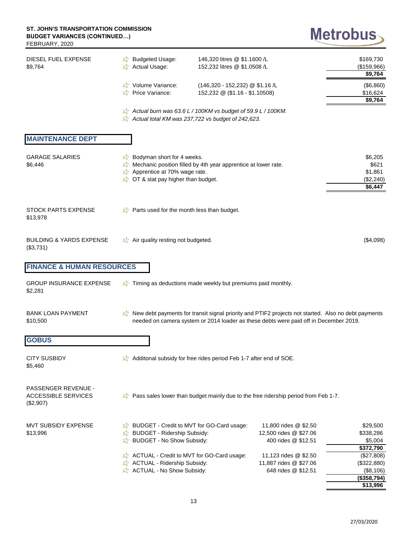## Metrobus

| DIESEL FUEL EXPENSE<br>\$9,764                                        | <b>A</b> Budgeted Usage:<br>Actual Usage:                                                                                                                                                       | 146,320 litres @ \$1.1600 /L<br>152,232 litres @ \$1.0508 /L      |                                                                                                                                                                                              | \$169,730<br>(\$159,966)<br>\$9,764                   |
|-----------------------------------------------------------------------|-------------------------------------------------------------------------------------------------------------------------------------------------------------------------------------------------|-------------------------------------------------------------------|----------------------------------------------------------------------------------------------------------------------------------------------------------------------------------------------|-------------------------------------------------------|
|                                                                       | Volume Variance:<br>Price Variance:                                                                                                                                                             | (146,320 - 152,232) @ \$1.16 /L<br>152,232 @ (\$1.16 - \$1.10508) |                                                                                                                                                                                              | (\$6,860)<br>\$16,624<br>\$9,764                      |
|                                                                       | Actual burn was 63.6 L / 100KM vs budget of 59.9 L / 100KM.<br>$\lambda$ Actual total KM was 237,722 vs budget of 242,623.                                                                      |                                                                   |                                                                                                                                                                                              |                                                       |
| <b>MAINTENANCE DEPT</b>                                               |                                                                                                                                                                                                 |                                                                   |                                                                                                                                                                                              |                                                       |
| <b>GARAGE SALARIES</b><br>\$6,446                                     | $\overrightarrow{z}$ Bodyman short for 4 weeks.<br>Mechanic position filled by 4th year apprentice at lower rate.<br>Apprentice at 70% wage rate.<br><b>A</b> OT & stat pay higher than budget. |                                                                   |                                                                                                                                                                                              | \$6,205<br>\$621<br>\$1,861<br>(\$2,240)<br>\$6,447   |
| <b>STOCK PARTS EXPENSE</b><br>\$13,978                                | Parts used for the month less than budget.                                                                                                                                                      |                                                                   |                                                                                                                                                                                              |                                                       |
| <b>BUILDING &amp; YARDS EXPENSE</b><br>(\$3,731)                      | Air quality resting not budgeted.                                                                                                                                                               |                                                                   |                                                                                                                                                                                              | (\$4,098)                                             |
| <b>FINANCE &amp; HUMAN RESOURCES</b>                                  |                                                                                                                                                                                                 |                                                                   |                                                                                                                                                                                              |                                                       |
| <b>GROUP INSURANCE EXPENSE</b><br>\$2,281                             | Timing as deductions made weekly but premiums paid monthly.                                                                                                                                     |                                                                   |                                                                                                                                                                                              |                                                       |
| <b>BANK LOAN PAYMENT</b><br>\$10,500                                  |                                                                                                                                                                                                 |                                                                   | New debt payments for transit signal priority and PTIF2 projects not started. Also no debt payments<br>needed on camera system or 2014 loader as these debts were paid off in December 2019. |                                                       |
| <b>GOBUS</b>                                                          |                                                                                                                                                                                                 |                                                                   |                                                                                                                                                                                              |                                                       |
| <b>CITY SUSBIDY</b><br>\$5,460                                        | Additional subsidy for free rides period Feb 1-7 after end of SOE.                                                                                                                              |                                                                   |                                                                                                                                                                                              |                                                       |
| <b>PASSENGER REVENUE -</b><br><b>ACCESSIBLE SERVICES</b><br>(\$2,907) |                                                                                                                                                                                                 |                                                                   | a Pass sales lower than budget mainly due to the free ridership period from Feb 1-7.                                                                                                         |                                                       |
| MVT SUBSIDY EXPENSE<br>\$13,996                                       | <b>EV</b> BUDGET - Credit to MVT for GO-Card usage:<br><b>X</b> BUDGET - Ridership Subsidy:<br>X BUDGET - No Show Subsidy:                                                                      |                                                                   | 11,800 rides @ \$2.50<br>12,500 rides @ \$27.06<br>400 rides @ \$12.51                                                                                                                       | \$29,500<br>\$338,286<br>\$5,004<br>\$372,790         |
|                                                                       | ACTUAL - Credit to MVT for GO-Card usage:<br>ACTUAL - Ridership Subsidy:<br>ACTUAL - No Show Subsidy:                                                                                           |                                                                   | 11,123 rides @ \$2.50<br>11,887 rides @ \$27.06<br>648 rides @ \$12.51                                                                                                                       | (\$27,808)<br>(\$322,880)<br>(\$8,106)<br>(\$358,794) |

**\$13,996**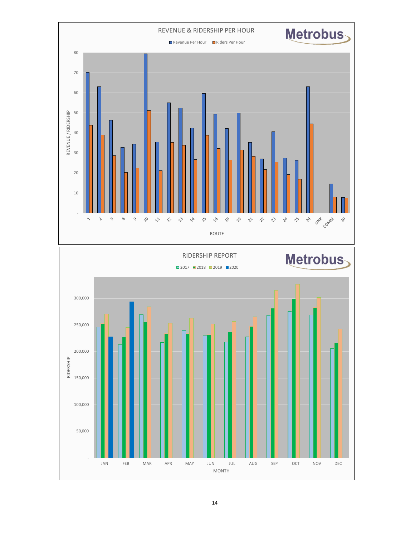



MONTH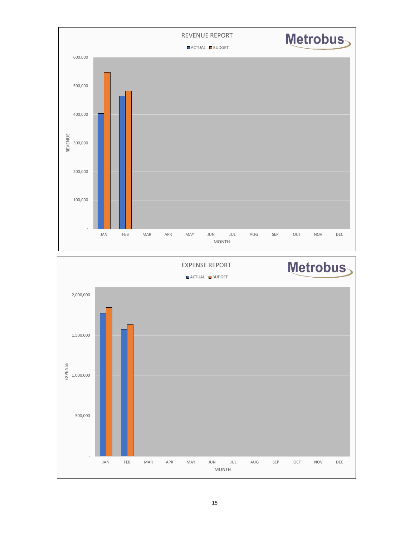

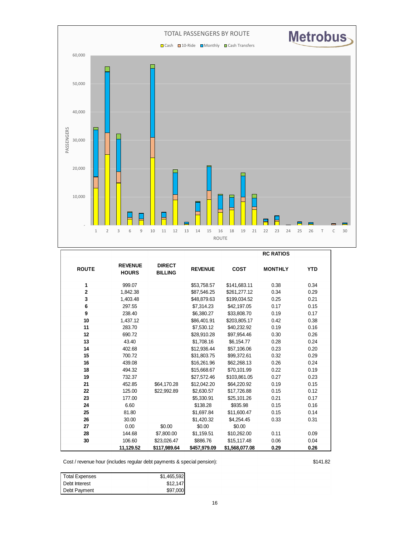

|                |                                |                                 |                |                | <b>RC RATIOS</b> |            |
|----------------|--------------------------------|---------------------------------|----------------|----------------|------------------|------------|
| <b>ROUTE</b>   | <b>REVENUE</b><br><b>HOURS</b> | <b>DIRECT</b><br><b>BILLING</b> | <b>REVENUE</b> | <b>COST</b>    | <b>MONTHLY</b>   | <b>YTD</b> |
| 1              | 999.07                         |                                 | \$53,758.57    | \$141,683.11   | 0.38             | 0.34       |
| $\overline{2}$ | 1,842.38                       |                                 | \$87.546.25    | \$261.277.12   | 0.34             | 0.29       |
| 3              | 1,403.48                       |                                 | \$48,879.63    | \$199,034.52   | 0.25             | 0.21       |
| 6              | 297.55                         |                                 | \$7,314.23     | \$42,197.05    | 0.17             | 0.15       |
| 9              | 238.40                         |                                 | \$6,380.27     | \$33,808.70    | 0.19             | 0.17       |
| 10             | 1,437.12                       |                                 | \$86,401.91    | \$203,805.17   | 0.42             | 0.38       |
| 11             | 283.70                         |                                 | \$7.530.12     | \$40.232.92    | 0.19             | 0.16       |
| 12             | 690.72                         |                                 | \$28,910.28    | \$97,954.46    | 0.30             | 0.26       |
| 13             | 43.40                          |                                 | \$1,708.16     | \$6.154.77     | 0.28             | 0.24       |
| 14             | 402.68                         |                                 | \$12,936.44    | \$57,106.06    | 0.23             | 0.20       |
| 15             | 700.72                         |                                 | \$31,803.75    | \$99,372.61    | 0.32             | 0.29       |
| 16             | 439.08                         |                                 | \$16,261.96    | \$62,268.13    | 0.26             | 0.24       |
| 18             | 494.32                         |                                 | \$15,668.67    | \$70,101.99    | 0.22             | 0.19       |
| 19             | 732.37                         |                                 | \$27.572.46    | \$103,861.05   | 0.27             | 0.23       |
| 21             | 452.85                         | \$64,170.28                     | \$12,042.20    | \$64,220.92    | 0.19             | 0.15       |
| 22             | 125.00                         | \$22.992.89                     | \$2,630.57     | \$17,726.88    | 0.15             | 0.12       |
| 23             | 177.00                         |                                 | \$5,330.91     | \$25,101.26    | 0.21             | 0.17       |
| 24             | 6.60                           |                                 | \$138.28       | \$935.98       | 0.15             | 0.16       |
| 25             | 81.80                          |                                 | \$1,697.84     | \$11,600.47    | 0.15             | 0.14       |
| 26             | 30.00                          |                                 | \$1,420.32     | \$4,254.45     | 0.33             | 0.31       |
| 27             | 0.00                           | \$0.00                          | \$0.00         | \$0.00         |                  |            |
| 28             | 144.68                         | \$7,800.00                      | \$1,159.51     | \$10,262.00    | 0.11             | 0.09       |
| 30             | 106.60                         | \$23,026.47                     | \$886.76       | \$15,117.48    | 0.06             | 0.04       |
|                | 11,129.52                      | \$117,989.64                    | \$457,979.09   | \$1,568,077.08 | 0.29             | 0.26       |
|                |                                |                                 |                |                |                  |            |

Cost / revenue hour (includes regular debt payments & special pension): \$141.82

| <b>Total Expenses</b> | \$1,465,592 |  |  |
|-----------------------|-------------|--|--|
| Debt Interest         | \$12.147    |  |  |
| Debt Payment          | \$97,000    |  |  |